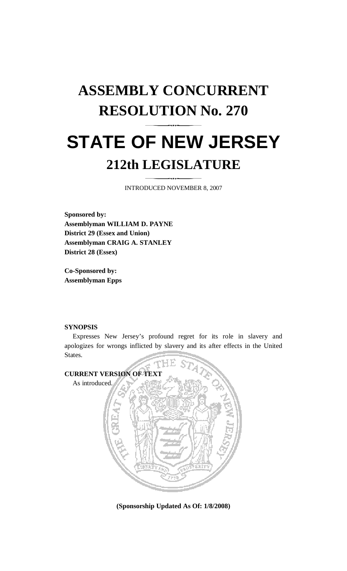## **ASSEMBLY CONCURRENT RESOLUTION No. 270 STATE OF NEW JERSEY 212th LEGISLATURE**

INTRODUCED NOVEMBER 8, 2007

**Sponsored by: Assemblyman WILLIAM D. PAYNE District 29 (Essex and Union) Assemblyman CRAIG A. STANLEY District 28 (Essex)** 

**Co-Sponsored by: Assemblyman Epps** 

## **SYNOPSIS**

 Expresses New Jersey's profound regret for its role in slavery and apologizes for wrongs inflicted by slavery and its after effects in the United States.



**(Sponsorship Updated As Of: 1/8/2008)**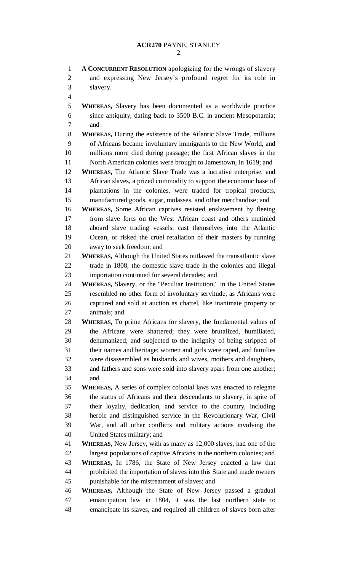## **ACR270** PAYNE, STANLEY

1 **A CONCURRENT RESOLUTION** apologizing for the wrongs of slavery 2 and expressing New Jersey's profound regret for its role in 3 slavery. 4 5 **WHEREAS,** Slavery has been documented as a worldwide practice 6 since antiquity, dating back to 3500 B.C. in ancient Mesopotamia; 7 and 8 **WHEREAS,** During the existence of the Atlantic Slave Trade, millions 9 of Africans became involuntary immigrants to the New World, and 10 millions more died during passage; the first African slaves in the 11 North American colonies were brought to Jamestown, in 1619; and 12 **WHEREAS,** The Atlantic Slave Trade was a lucrative enterprise, and 13 African slaves, a prized commodity to support the economic base of 14 plantations in the colonies, were traded for tropical products, 15 manufactured goods, sugar, molasses, and other merchandise; and 16 **WHEREAS,** Some African captives resisted enslavement by fleeing 17 from slave forts on the West African coast and others mutinied 18 aboard slave trading vessels, cast themselves into the Atlantic 19 Ocean, or risked the cruel retaliation of their masters by running 20 away to seek freedom; and 21 **WHEREAS,** Although the United States outlawed the transatlantic slave 22 trade in 1808, the domestic slave trade in the colonies and illegal 23 importation continued for several decades; and 24 **WHEREAS,** Slavery, or the "Peculiar Institution," in the United States 25 resembled no other form of involuntary servitude, as Africans were 26 captured and sold at auction as chattel, like inanimate property or 27 animals; and 28 **WHEREAS,** To prime Africans for slavery, the fundamental values of 29 the Africans were shattered; they were brutalized, humiliated, 30 dehumanized, and subjected to the indignity of being stripped of 31 their names and heritage; women and girls were raped, and families 32 were disassembled as husbands and wives, mothers and daughters, 33 and fathers and sons were sold into slavery apart from one another; 34 and 35 **WHEREAS,** A series of complex colonial laws was enacted to relegate 36 the status of Africans and their descendants to slavery, in spite of 37 their loyalty, dedication, and service to the country, including 38 heroic and distinguished service in the Revolutionary War, Civil 39 War, and all other conflicts and military actions involving the 40 United States military; and 41 **WHEREAS,** New Jersey, with as many as 12,000 slaves, had one of the 42 largest populations of captive Africans in the northern colonies; and 43 **WHEREAS,** In 1786, the State of New Jersey enacted a law that 44 prohibited the importation of slaves into this State and made owners 45 punishable for the mistreatment of slaves; and 46 **WHEREAS,** Although the State of New Jersey passed a gradual 47 emancipation law in 1804, it was the last northern state to 48 emancipate its slaves, and required all children of slaves born after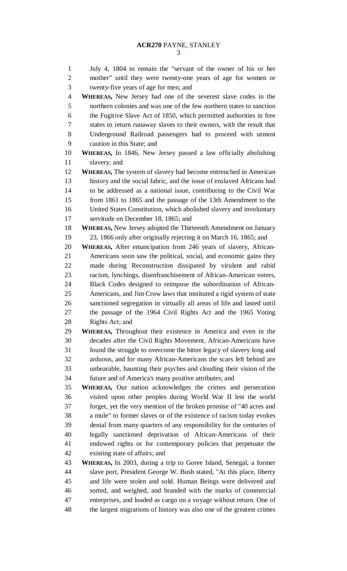1 July 4, 1804 to remain the "servant of the owner of his or her 2 mother" until they were twenty-one years of age for women or 3 twenty-five years of age for men; and 4 **WHEREAS,** New Jersey had one of the severest slave codes in the 5 northern colonies and was one of the few northern states to sanction 6 the Fugitive Slave Act of 1850, which permitted authorities in free 7 states to return runaway slaves to their owners, with the result that 8 Underground Railroad passengers had to proceed with utmost 9 caution in this State; and 10 **WHEREAS,** In 1846, New Jersey passed a law officially abolishing 11 slavery; and 12 **WHEREAS,** The system of slavery had become entrenched in American 13 history and the social fabric, and the issue of enslaved Africans had 14 to be addressed as a national issue, contributing to the Civil War 15 from 1861 to 1865 and the passage of the 13th Amendment to the 16 United States Constitution, which abolished slavery and involuntary 17 servitude on December 18, 1865; and 18 **WHEREAS,** New Jersey adopted the Thirteenth Amendment on January 19 23, 1866 only after originally rejecting it on March 16, 1865; and 20 **WHEREAS,** After emancipation from 246 years of slavery, African-21 Americans soon saw the political, social, and economic gains they 22 made during Reconstruction dissipated by virulent and rabid 23 racism, lynchings, disenfranchisement of African-American voters, 24 Black Codes designed to reimpose the subordination of African-25 Americans, and Jim Crow laws that instituted a rigid system of state 26 sanctioned segregation in virtually all areas of life and lasted until 27 the passage of the 1964 Civil Rights Act and the 1965 Voting 28 Rights Act; and 29 **WHEREAS,** Throughout their existence in America and even in the 30 decades after the Civil Rights Movement, African-Americans have 31 found the struggle to overcome the bitter legacy of slavery long and 32 arduous, and for many African-Americans the scars left behind are 33 unbearable, haunting their psyches and clouding their vision of the 34 future and of America's many positive attributes; and 35 **WHEREAS,** Our nation acknowledges the crimes and persecution 36 visited upon other peoples during World War II lest the world 37 forget, yet the very mention of the broken promise of "40 acres and 38 a mule" to former slaves or of the existence of racism today evokes 39 denial from many quarters of any responsibility for the centuries of 40 legally sanctioned deprivation of African-Americans of their 41 endowed rights or for contemporary policies that perpetuate the 42 existing state of affairs; and 43 **WHEREAS,** In 2003, during a trip to Goree Island, Senegal, a former 44 slave port, President George W. Bush stated, "At this place, liberty 45 and life were stolen and sold. Human Beings were delivered and 46 sorted, and weighed, and branded with the marks of commercial 47 enterprises, and loaded as cargo on a voyage without return. One of 48 the largest migrations of history was also one of the greatest crimes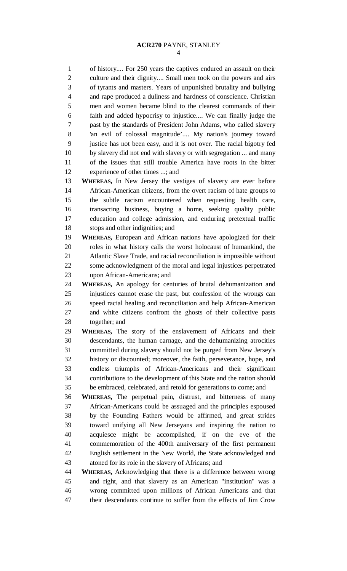1 of history.... For 250 years the captives endured an assault on their 2 culture and their dignity.... Small men took on the powers and airs 3 of tyrants and masters. Years of unpunished brutality and bullying 4 and rape produced a dullness and hardness of conscience. Christian 5 men and women became blind to the clearest commands of their 6 faith and added hypocrisy to injustice.... We can finally judge the 7 past by the standards of President John Adams, who called slavery 8 'an evil of colossal magnitude'.... My nation's journey toward 9 justice has not been easy, and it is not over. The racial bigotry fed 10 by slavery did not end with slavery or with segregation ... and many 11 of the issues that still trouble America have roots in the bitter 12 experience of other times ...; and

13 **WHEREAS,** In New Jersey the vestiges of slavery are ever before 14 African-American citizens, from the overt racism of hate groups to 15 the subtle racism encountered when requesting health care, 16 transacting business, buying a home, seeking quality public 17 education and college admission, and enduring pretextual traffic 18 stops and other indignities; and

19 **WHEREAS,** European and African nations have apologized for their 20 roles in what history calls the worst holocaust of humankind, the 21 Atlantic Slave Trade, and racial reconciliation is impossible without 22 some acknowledgment of the moral and legal injustices perpetrated 23 upon African-Americans; and

24 **WHEREAS,** An apology for centuries of brutal dehumanization and 25 injustices cannot erase the past, but confession of the wrongs can 26 speed racial healing and reconciliation and help African-American 27 and white citizens confront the ghosts of their collective pasts 28 together; and

29 **WHEREAS,** The story of the enslavement of Africans and their 30 descendants, the human carnage, and the dehumanizing atrocities 31 committed during slavery should not be purged from New Jersey's 32 history or discounted; moreover, the faith, perseverance, hope, and 33 endless triumphs of African-Americans and their significant 34 contributions to the development of this State and the nation should 35 be embraced, celebrated, and retold for generations to come; and

36 **WHEREAS,** The perpetual pain, distrust, and bitterness of many 37 African-Americans could be assuaged and the principles espoused 38 by the Founding Fathers would be affirmed, and great strides 39 toward unifying all New Jerseyans and inspiring the nation to 40 acquiesce might be accomplished, if on the eve of the 41 commemoration of the 400th anniversary of the first permanent 42 English settlement in the New World, the State acknowledged and 43 atoned for its role in the slavery of Africans; and

44 **WHEREAS,** Acknowledging that there is a difference between wrong 45 and right, and that slavery as an American "institution" was a 46 wrong committed upon millions of African Americans and that 47 their descendants continue to suffer from the effects of Jim Crow